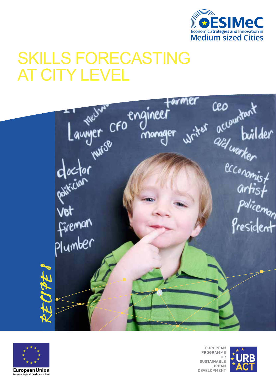

# SKILLS FORECASTING AT CITY LEVEL





**EUROPEAN** PROGRAMME **FOR SUSTAINABLE** URBAN **DEVELOPMENT** 

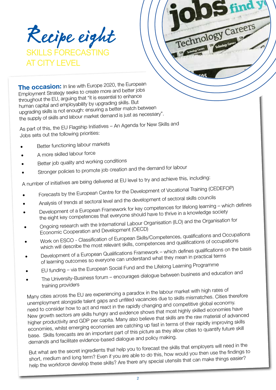Recipe eight skillS forEcasting **CITY I FVFI** 

**The occasion:** In line with Europe 2020, the European Employment Strategy seeks to create more and better jobs throughout the EU, arguing that "it is essential to enhance human capital and employability by upgrading skills. But upgrading skills is not enough: ensuring a better match between the supply of skills and labour market demand is just as necessary".

As part of this, the EU Flagship Initiatives – An Agenda for New Skills and Jobs sets out the following priorities:

- Better functioning labour markets
- A more skilled labour force
- Better job quality and working conditions
- Stronger policies to promote job creation and the demand for labour

A number of initiatives are being delivered at EU level to try and achieve this, including:

- Forecasts by the European Centre for the Development of Vocational Training (CEDEFOP)
- Analysis of trends at sectoral level and the development of sectoral skills councils
- Development of a European Framework for key competences for lifelong learning which defines

Technology<sup>(</sup>

- the eight key competences that everyone should have to thrive in a knowledge society Ongoing research with the International Labour Organisation (ILO) and the Organisation for Economic Cooperation and Development (OECD)
- Work on ESCO Classification of European Skills/Competences, qualifications and Occupations which will describe the most relevant skills, competences and qualifications of occupations
- Development of a European Qualifications Framework which defines qualifications on the basis of learning outcomes so everyone can understand what they mean in practical terms
- EU funding via the European Social Fund and the Lifelong Learning Programme
- The University-Business forum encourages dialogue between business and education and training providers

Many cities across the EU are experiencing a paradox in the labour market with high rates o<sup>f</sup> unemployment alongside talent gaps and unfilled vacancies due to skills mismatches. Cities therefore need to consider how to act and react in the rapidly changing and competitive global economy. New growth sectors are skills hungry and evidence shows that most highly skilled economies have higher productivity and GDP per capita. Many also believe that skills are the raw material of advanced economies, whilst emerging economies are catching up fast in terms of their rapidly improving skills base. Skills forecasts are an important part of this picture as they allow cities to quantify future skill demands and facilitate evidence-based dialogue and policy making.

But what are the secret ingredients that help you to forecast the skills that employers will need in the short, medium and long term? Even if you are able to do this, how would you then use the findings to help the workforce develop these skills? Are there any special utensils that can make things easier?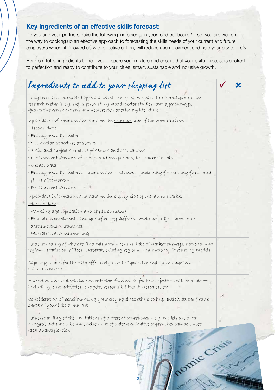### **Key Ingredients of an effective skills forecast:**

Do you and your partners have the following ingredients in your food cupboard? If so, you are well on the way to cooking up an effective approach to forecasting the skills needs of your current and future employers which, if followed up with effective action, will reduce unemployment and help your city to grow.

Here is a list of ingredients to help you prepare your mixture and ensure that your skills forecast is cooked to perfection and ready to contribute to your cities' smart, sustainable and inclusive growth.

| Long term and integrated approach which incorporates quantitative and qualitative<br>research methods e.g. skills forecasting model, sector studies, employer surveys,<br>qualitative consultations and desk review of existing literature<br>up-to-date information and data on the demand side of the labour market:<br>Historic data<br>· Employment by sector<br>· Occupation structure of sectors<br>· Skill and subject structure of sectors and occupations<br>· Replacement demand of sectors and occupations, i.e. 'churn' in jobs<br>Forecast data<br>· Employment by sector, occupation and skill level - including for existing firms and<br>firms of tomorrow<br>· Replacement demand |  |
|----------------------------------------------------------------------------------------------------------------------------------------------------------------------------------------------------------------------------------------------------------------------------------------------------------------------------------------------------------------------------------------------------------------------------------------------------------------------------------------------------------------------------------------------------------------------------------------------------------------------------------------------------------------------------------------------------|--|
|                                                                                                                                                                                                                                                                                                                                                                                                                                                                                                                                                                                                                                                                                                    |  |
|                                                                                                                                                                                                                                                                                                                                                                                                                                                                                                                                                                                                                                                                                                    |  |
|                                                                                                                                                                                                                                                                                                                                                                                                                                                                                                                                                                                                                                                                                                    |  |
|                                                                                                                                                                                                                                                                                                                                                                                                                                                                                                                                                                                                                                                                                                    |  |
|                                                                                                                                                                                                                                                                                                                                                                                                                                                                                                                                                                                                                                                                                                    |  |
|                                                                                                                                                                                                                                                                                                                                                                                                                                                                                                                                                                                                                                                                                                    |  |
|                                                                                                                                                                                                                                                                                                                                                                                                                                                                                                                                                                                                                                                                                                    |  |
|                                                                                                                                                                                                                                                                                                                                                                                                                                                                                                                                                                                                                                                                                                    |  |
| up-to-date information and data on the supply side of the labour market:<br>Historic data                                                                                                                                                                                                                                                                                                                                                                                                                                                                                                                                                                                                          |  |
| · Working age population and skills structure                                                                                                                                                                                                                                                                                                                                                                                                                                                                                                                                                                                                                                                      |  |
| • Education enrolments and qualifiers by different level and subject areas and                                                                                                                                                                                                                                                                                                                                                                                                                                                                                                                                                                                                                     |  |
| destinations of students                                                                                                                                                                                                                                                                                                                                                                                                                                                                                                                                                                                                                                                                           |  |
| · Migration and commuting                                                                                                                                                                                                                                                                                                                                                                                                                                                                                                                                                                                                                                                                          |  |
| understanding of where to find this data - census, labour market surveys, national and<br>regional statistical offices, Eurostat, existing regional and national forecasting models                                                                                                                                                                                                                                                                                                                                                                                                                                                                                                                |  |
| capacity to ask for the data effectively and to "speak the right language" with<br>statístics experts                                                                                                                                                                                                                                                                                                                                                                                                                                                                                                                                                                                              |  |
| A detailed and realistic implementation framework for how objectives will be achieved<br>including joint activities, budgets, responsibilities, timescales, etc.                                                                                                                                                                                                                                                                                                                                                                                                                                                                                                                                   |  |
| Consíderation of benchmarking your city against others to help anticipate the future<br>shape of your labour market                                                                                                                                                                                                                                                                                                                                                                                                                                                                                                                                                                                |  |
| understanding of the limitations of different approaches - e.g. models are data<br>hungry, data may be unreliable / out of date; qualitative approaches can be biased /<br>Lack quantification                                                                                                                                                                                                                                                                                                                                                                                                                                                                                                     |  |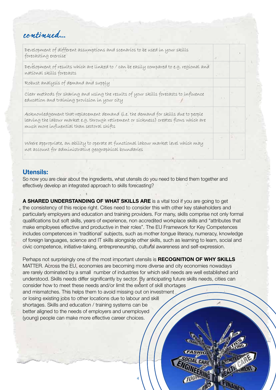## continued...

Development of different assumptions and scenarios to be used in your skills forecasting exercise

Development of results which are linked to / can be easily compared to e.g. regional and national skills forecasts

Robust analysis of demand and supply

Clear methods for sharing and using the results of your skills forecasts to influence education and training provision in your city

Acknowledgement that replacement demand (i.e. the demand for skills due to people leaving the labour market e.g. through retirement or sickness) creates flows which are much more influential than sectoral shifts

Where appropriate, an ability to operate at functional labour market level which may not account for administrative geographical boundaries

### **Utensils:**

So now you are clear about the ingredients, what utensils do you need to blend them together and effectively develop an integrated approach to skills forecasting?

**A SHARED UNDERSTANDING OF WHAT SKILLS ARE** is a vital tool if you are going to get the consistency of this recipe right. Cities need to consider this with other key stakeholders and particularly employers and education and training providers. For many, skills comprise not only formal qualifications but soft skills, years of experience, non accredited workplace skills and "attributes that make employees effective and productive in their roles". The EU Framework for Key Competences includes competences in 'traditional' subjects, such as mother tongue literacy, numeracy, knowledge of foreign languages, science and IT skills alongside other skills, such as learning to learn, social and civic competence, initiative-taking, entrepreneurship, cultural awareness and self-expression.

Perhaps not surprisingly one of the most important utensils is **RECOGNITION OF WHY SKILLS** MATTER. Across the EU, economies are becoming more diverse and city economies nowadays are rarely dominated by a small number of industries for which skill needs are well established and understood. Skills needs differ significantly by sector. By anticipating future skills needs, cities can consider how to meet these needs and/or limit the extent of skill shortages and mismatches. This helps them to avoid missing out on investment or losing existing jobs to other locations due to labour and skill shortages. Skills and education / training systems can be better aligned to the needs of employers and unemployed (young) people can make more effective career choices.

4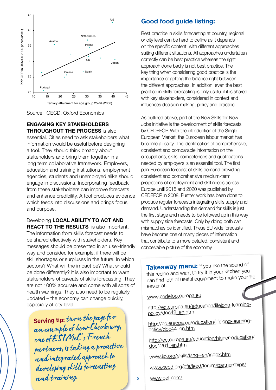



### **ENGAGING KEY STAKEHOLDERS THROUGHOUT THE PROCESS** is also

essential. Cities need to ask stakeholders what information would be useful before designing a tool. They should think broadly about stakeholders and bring them together in a long term collaborative framework. Employers, education and training institutions, employment agencies, students and unemployed alike should engage in discussions. Incorporating feedback from these stakeholders can improve forecasts and enhance credibility. A tool produces evidence which feeds into discussions and brings focus and purpose.

#### Developing **LOCAL ABILITY TO ACT AND REACT TO THE RESULTS** is also important.

The information from skills forecast needs to be shared effectively with stakeholders. Key messages should be presented in an user-friendly way and consider, for example, if there will be skill shortages or surpluses in the future. In which sectors? What will the impact be? What should be done differently? It is also important to warn stakeholders of caveats of skills forecasting. They are not 100% accurate and come with all sorts of health warnings. They also need to be regularly updated – the economy can change quickly, especially at city level.

**Serving tip:** turn the page for an example of how Cherbourg, one of ESIMeC's French partners, is taking a proactive and integrated approach to developing skills forecasting and training.

### **Good food guide listing:**

Best practice in skills forecasting at country, regional or city level can be hard to define as it depends on the specific content, with different approaches suiting different situations. All approaches undertaken correctly can be best practice whereas the right approach done badly is not best practice. The key thing when considering good practice is the importance of getting the balance right between the different approaches. In addition, even the best practice in skills forecasting is only useful if it is shared with key stakeholders, considered in context and influences decision making, policy and practice.

As outlined above, part of the New Skills for New Jobs initiative is the development of skills forecasts by CEDEFOP. With the introduction of the Single European Market, the European labour market has become a reality. The identification of comprehensive, consistent and comparable information on the occupations, skills, competences and qualifications needed by employers is an essential tool. The first pan-European forecast of skills demand providing consistent and comprehensive medium-term projections of employment and skill needs across Europe until 2015 and 2020 was published by CEDEFOP in 2008. Further work has been done to produce regular forecasts integrating skills supply and demand. Understanding the demand for skills is just the first stage and needs to be followed up in this way with supply side forecasts. Only by doing both can mismatches be identified. These EU wide forecasts have become one of many pieces of information that contribute to a more detailed, consistent and conceivable picture of the economy

**Takeaway menu:** if you like the sound of this recipe and want to try it in your kitchen you can find lots of useful equipment to make your life easier at:

[www.cedefop.europa.eu](http://www.cedefop.europa.eu)

http://ec.europa.eu[/education/lifelong-learning](http://ec.europa.eu/education/lifelong-learning-policy/doc42_en.htm)[policy/doc42\\_en.htm](http://ec.europa.eu/education/lifelong-learning-policy/doc42_en.htm)

http://ec.europa.eu[/education/lifelong-learning](http://ec.europa.eu/education/lifelong-learning-policy/doc44_en.htm)[policy/doc44\\_en.htm](http://ec.europa.eu/education/lifelong-learning-policy/doc44_en.htm)

http://ec.europa.eu[/education/higher-education/](http://ec.europa.eu/education/higher-education/doc1261_en.htm) [doc1261\\_en.htm](http://ec.europa.eu/education/higher-education/doc1261_en.htm)

[www.ilo.org/skills/lang--en](http://www.ilo.org/skills/lang--en/index.htm)/index.htm

[www.oecd.org/cfe/leed/forum/partners](http://www.oecd.org/cfe/leed/forum/partnerships/)hips/

[www.oef.com/](http://www.oef.com/)

5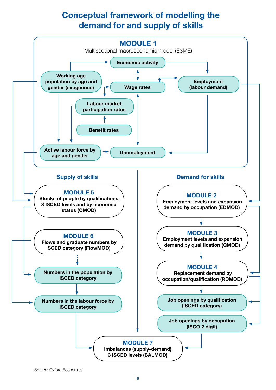## **Conceptual framework of modelling the demand for and supply of skills**

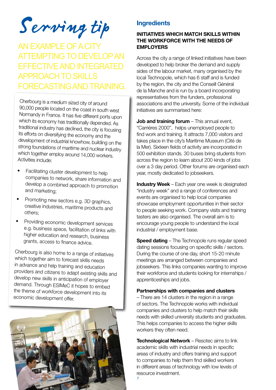# Serving tip

AN EXAMPLE OF A CITY attempting to develop an effective and integrated approach to skills forecasting and training.

Cherbourg is <sup>a</sup> medium sized city of around 90,000 people located on the coast in south west Normandy in France. It has five different ports upon which its economy has traditionally depended. As traditional industry has declined, the city is focusing its efforts on diversifying the economy and the development of industrial knowhow, building on the strong foundations of maritime and nuclear industry which together employ around 14,000 workers. Activities include:

- Facilitating cluster development to help companies to network, share information and develop a combined approach to promotion and marketing;
- Promoting new sectors e.g. 3D graphics, creative industries, maritime products and others;
- Providing economic development services e.g. business space, facilitation of links with higher education and research, business grants, access to finance advice.

Cherbourg is also home to <sup>a</sup> range of initiatives which together aim to forecast skills needs in advance and help training and education providers and citizens to adapt existing skills and develop new skills in anticipation of employer demand. Through ESIMeC it hopes to embed the theme of workforce development into its economic development offer.



### **Ingredients**

### **INITIATIVES WHICH MATCH SKILLS WITHIN THE WORKFORCE WITH THE NEEDS OF EMPLOYERS**

Across the city a range of linked initiatives have been developed to help broker the demand and supply sides of the labour market, many organised by the local Technopole, which has 6 staff and is funded by the region, the city and the Conseill Général de la Manche and is run by a board incorporating representatives from the funders, professional associations and the university. Some of the individual initiatives are summarised here:

**Job and training forum** – This annual event, "Carrières 2000", helps unemployed people to find work and training. It attracts 7,000 visitors and takes place in the city's Maritime Museum (Cité de la Mer). Sixteen fields of activity are incorporated in 500 exhibition stands. 30 buses bring students from across the region to learn about 200 kinds of jobs over a 3 day period. Other forums are organised each year, mostly dedicated to jobseekers.

**Industry Week** – Each year one week is designated "industry week" and a range of conferences and events are organised to help local companies showcase employment opportunities in their sector to people seeking work. Company visits and training tasters are also organised. The overall aim is to encourage young people to understand the local industrial / employment base.

**Speed dating** – The Technopole runs regular speed dating sessions focusing on specific skills / sectors. During the course of one day, short 15-20 minute meetings are arranged between companies and jobseekers. This links companies wanting to improve their workforce and students looking for internships / apprenticeships and jobs.

### **Partnerships with companies and clusters**

– There are 14 clusters in the region in a range of sectors. The Technopole works with individual companies and clusters to help match their skills needs with skilled university students and graduates. This helps companies to access the higher skills workers they often need.

7 **Technological Network** – Resotec aims to link academic skills with industrial needs in specific areas of industry and offers training and support to companies to help them find skilled workers in different areas of technology with low levels of resource investment.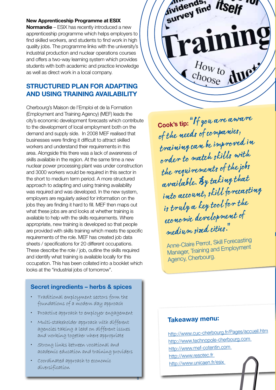### **New Apprenticeship Programme at ESIX**

**Normandie** – ESIX has recently introduced a new apprenticeship programme which helps employers to find skilled workers, and students to find work in high quality jobs. The programme links with the university's industrial production and nuclear operations courses and offers a two-way learning system which provides students with both academic and practice knowledge as well as direct work in a local company.

### **STRUCTURED PLAN FOR ADAPTING AND USING TRAINING AVAILABILITY**

Cherbourg's Maison de l'Emploi et de la Formation (Employment and Training Agency) (MEF) leads the city's economic development forecasts which contribute to the development of local employment both on the demand and supply side. In 2008 MEF realised that businesses were finding it difficult to attract skilled workers and understand their requirements in this area. Alongside this there was a lack of awareness of skills available in the region. At the same time a new nuclear power processing plant was under construction and 3000 workers would be required in this sector in the short to medium term period. A more structured approach to adapting and using training availability was required and was developed. In the new system, employers are regularly asked for information on the jobs they are finding it hard to fill. MEF then maps out what these jobs are and looks at whether training is available to help with the skills requirements. Where appropriate, new training is developed so that people are provided with skills training which meets the specific requirements of the role. MEF has created job data sheets / specifications for 20 different occupations. These describe the role / job, outline the skills required and identify what training is available locally for this occupation. This has been collated into a booklet which looks at the "industrial jobs of tomorrow".

### **Secret ingredients – herbs & spices**

- Traditional employment sectors form the foundations of a modern day approach
- Proactive approach to employer engagement
- Multi-stakeholder approach with different agencies taking a lead on different issues and working together where appropriate
- Strong links between vocational and academic education and training providers

8

• Coordinated approach to economic diversification



**Cook's tip:**  "If you are aware of the needs of companies, training can be improved in order to match skills with the requirements of the jobs available. By taking that into account, skill forecasting is truly a key tool for the economic development of medium sized cities."

Anne-Claire Perrot, Skill Forecasting Manager, Training and Employmen<sup>t</sup> Agency, Cherbourg.

### **Takeaway menu:**

http://www.cuc-cherbourg.fr/Pages/accueil.htm http://www.technopole-cherbourg.com http://www.mef-cotentin.com http://www.resotec.fr http://www.unicaen.fr/esix